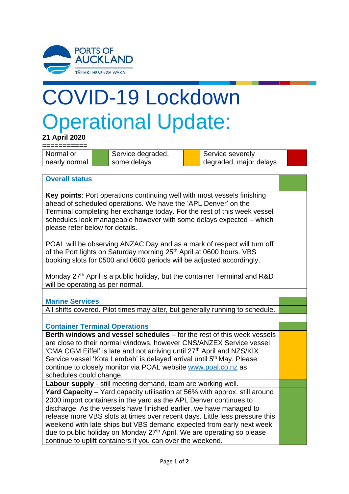

## COVID-19 Lockdown Operational Update:

**21 April 2020**

=========== Normal or nearly normal Service degraded, some delays Service severely degraded, major delays

## **Overall status**

**Key points**: Port operations continuing well with most vessels finishing ahead of scheduled operations. We have the 'APL Denver' on the Terminal completing her exchange today. For the rest of this week vessel schedules look manageable however with some delays expected – which please refer below for details.

POAL will be observing ANZAC Day and as a mark of respect will turn off of the Port lights on Saturday morning 25<sup>th</sup> April at 0600 hours. VBS booking slots for 0500 and 0600 periods will be adjusted accordingly.

Monday 27<sup>th</sup> April is a public holiday, but the container Terminal and R&D will be operating as per normal.

**Marine Services**

All shifts covered. Pilot times may alter, but generally running to schedule.

**Container Terminal Operations**

**Berth windows and vessel schedules** – for the rest of this week vessels are close to their normal windows, however CNS/ANZEX Service vessel 'CMA CGM Eiffel' is late and not arriving until 27th April and NZS/KIX Service vessel 'Kota Lembah' is delayed arrival until 5<sup>th</sup> May. Please continue to closely monitor via POAL website [www.poal.co.nz](http://www.poal.co.nz/) as schedules could change.

**Labour supply** - still meeting demand, team are working well.

**Yard Capacity** – Yard capacity utilisation at 56% with approx. still around 2000 import containers in the yard as the APL Denver continues to discharge. As the vessels have finished earlier, we have managed to release more VBS slots at times over recent days. Little less pressure this weekend with late ships but VBS demand expected from early next week due to public holiday on Monday 27<sup>th</sup> April. We are operating so please continue to uplift containers if you can over the weekend.